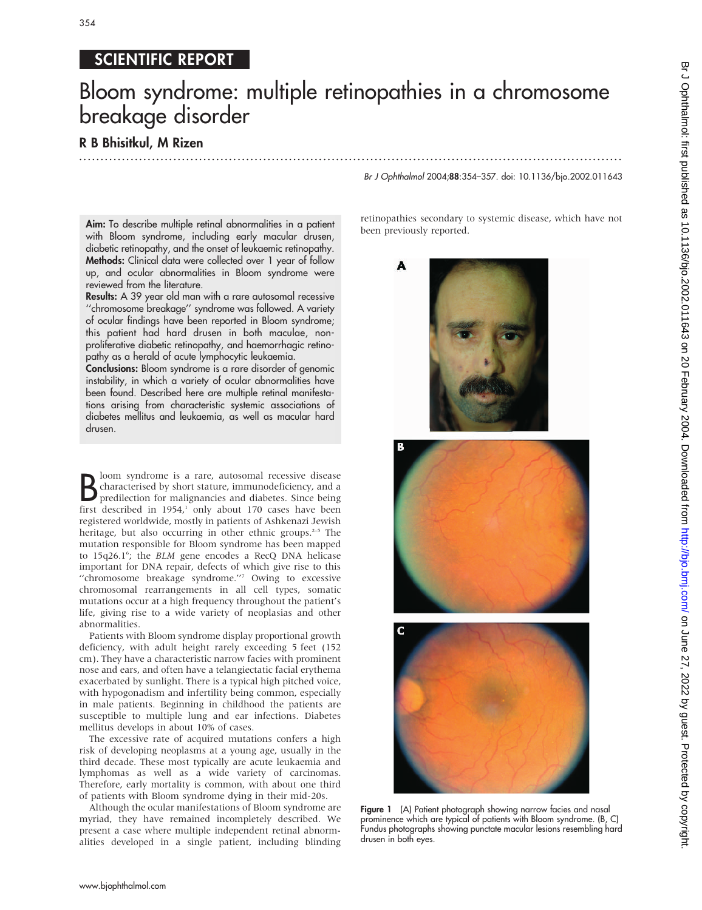## SCIENTIFIC REPORT

# Bloom syndrome: multiple retinopathies in a chromosome breakage disorder

.............................................................................................................................. .

### R B Bhisitkul, M Rizen

Aim: To describe multiple retinal abnormalities in a patient with Bloom syndrome, including early macular drusen, diabetic retinopathy, and the onset of leukaemic retinopathy. Methods: Clinical data were collected over 1 year of follow up, and ocular abnormalities in Bloom syndrome were reviewed from the literature.

Results: A 39 year old man with a rare autosomal recessive ''chromosome breakage'' syndrome was followed. A variety of ocular findings have been reported in Bloom syndrome; this patient had hard drusen in both maculae, nonproliferative diabetic retinopathy, and haemorrhagic retinopathy as a herald of acute lymphocytic leukaemia.

Conclusions: Bloom syndrome is a rare disorder of genomic instability, in which a variety of ocular abnormalities have been found. Described here are multiple retinal manifestations arising from characteristic systemic associations of diabetes mellitus and leukaemia, as well as macular hard drusen.

**B** loom syndrome is a rare, autosomal recessive disease<br>characterised by short stature, immunodeficiency, and a<br>predilection for malignancies and diabetes. Since being<br>first described in 1954,<sup>1</sup> only about 170 cases have loom syndrome is a rare, autosomal recessive disease characterised by short stature, immunodeficiency, and a predilection for malignancies and diabetes. Since being registered worldwide, mostly in patients of Ashkenazi Jewish heritage, but also occurring in other ethnic groups.<sup>2-5</sup> The mutation responsible for Bloom syndrome has been mapped to 15q26.1<sup>6</sup>; the BLM gene encodes a RecQ DNA helicase important for DNA repair, defects of which give rise to this "chromosome breakage syndrome."<sup>7</sup> Owing to excessive chromosomal rearrangements in all cell types, somatic mutations occur at a high frequency throughout the patient's life, giving rise to a wide variety of neoplasias and other abnormalities.

Patients with Bloom syndrome display proportional growth deficiency, with adult height rarely exceeding 5 feet (152 cm). They have a characteristic narrow facies with prominent nose and ears, and often have a telangiectatic facial erythema exacerbated by sunlight. There is a typical high pitched voice, with hypogonadism and infertility being common, especially in male patients. Beginning in childhood the patients are susceptible to multiple lung and ear infections. Diabetes mellitus develops in about 10% of cases.

The excessive rate of acquired mutations confers a high risk of developing neoplasms at a young age, usually in the third decade. These most typically are acute leukaemia and lymphomas as well as a wide variety of carcinomas. Therefore, early mortality is common, with about one third of patients with Bloom syndrome dying in their mid-20s.

Although the ocular manifestations of Bloom syndrome are myriad, they have remained incompletely described. We present a case where multiple independent retinal abnormalities developed in a single patient, including blinding

#### Br J Ophthalmol 2004;88:354–357. doi: 10.1136/bjo.2002.011643

retinopathies secondary to systemic disease, which have not been previously reported.







Figure 1 (A) Patient photograph showing narrow facies and nasal prominence which are typical of patients with Bloom syndrome. (B, C) Fundus photographs showing punctate macular lesions resembling hard drusen in both eyes.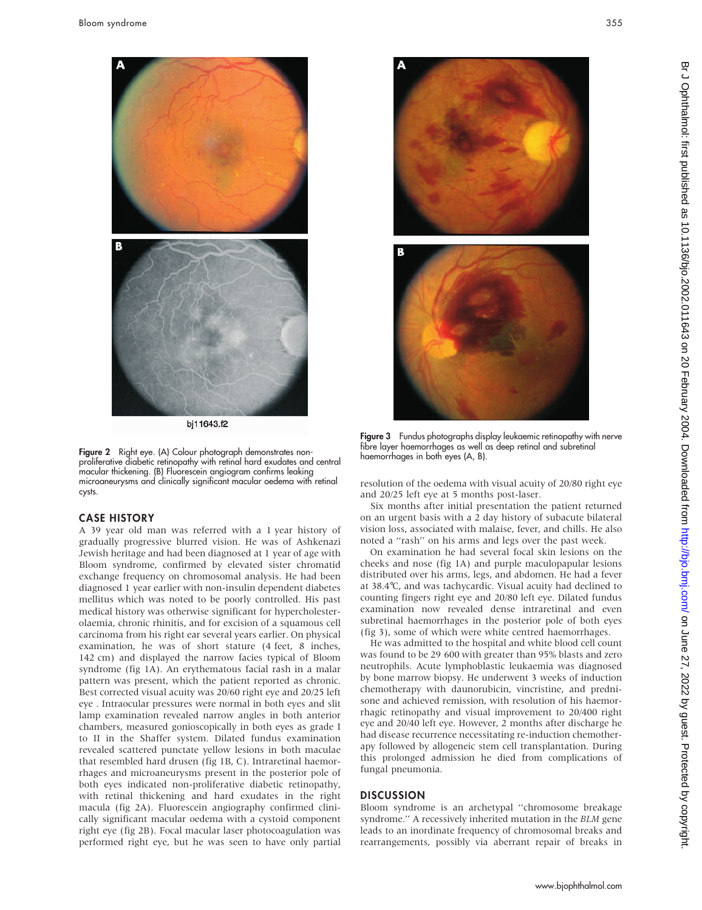

bj11643.f2

Figure 2 Right eye. (A) Colour photograph demonstrates nonproliferative diabetic retinopathy with retinal hard exudates and central macular thickening. (B) Fluorescein angiogram confirms leaking microaneurysms and clinically significant macular oedema with retinal cysts.

#### CASE HISTORY

A 39 year old man was referred with a 1 year history of gradually progressive blurred vision. He was of Ashkenazi Jewish heritage and had been diagnosed at 1 year of age with Bloom syndrome, confirmed by elevated sister chromatid exchange frequency on chromosomal analysis. He had been diagnosed 1 year earlier with non-insulin dependent diabetes mellitus which was noted to be poorly controlled. His past medical history was otherwise significant for hypercholesterolaemia, chronic rhinitis, and for excision of a squamous cell carcinoma from his right ear several years earlier. On physical examination, he was of short stature (4 feet, 8 inches, 142 cm) and displayed the narrow facies typical of Bloom syndrome (fig 1A). An erythematous facial rash in a malar pattern was present, which the patient reported as chronic. Best corrected visual acuity was 20/60 right eye and 20/25 left eye . Intraocular pressures were normal in both eyes and slit lamp examination revealed narrow angles in both anterior chambers, measured gonioscopically in both eyes as grade I to II in the Shaffer system. Dilated fundus examination revealed scattered punctate yellow lesions in both maculae that resembled hard drusen (fig 1B, C). Intraretinal haemorrhages and microaneurysms present in the posterior pole of both eyes indicated non-proliferative diabetic retinopathy, with retinal thickening and hard exudates in the right macula (fig 2A). Fluorescein angiography confirmed clinically significant macular oedema with a cystoid component right eye (fig 2B). Focal macular laser photocoagulation was performed right eye, but he was seen to have only partial



Figure 3 Fundus photographs display leukaemic retinopathy with nerve fibre layer haemorrhages as well as deep retinal and subretinal haemorrhages in both eyes (A, B).

resolution of the oedema with visual acuity of 20/80 right eye and 20/25 left eye at 5 months post-laser.

Six months after initial presentation the patient returned on an urgent basis with a 2 day history of subacute bilateral vision loss, associated with malaise, fever, and chills. He also noted a ''rash'' on his arms and legs over the past week.

On examination he had several focal skin lesions on the cheeks and nose (fig 1A) and purple maculopapular lesions distributed over his arms, legs, and abdomen. He had a fever at 38.4˚C, and was tachycardic. Visual acuity had declined to counting fingers right eye and 20/80 left eye. Dilated fundus examination now revealed dense intraretinal and even subretinal haemorrhages in the posterior pole of both eyes (fig 3), some of which were white centred haemorrhages.

He was admitted to the hospital and white blood cell count was found to be 29 600 with greater than 95% blasts and zero neutrophils. Acute lymphoblastic leukaemia was diagnosed by bone marrow biopsy. He underwent 3 weeks of induction chemotherapy with daunorubicin, vincristine, and prednisone and achieved remission, with resolution of his haemorrhagic retinopathy and visual improvement to 20/400 right eye and 20/40 left eye. However, 2 months after discharge he had disease recurrence necessitating re-induction chemotherapy followed by allogeneic stem cell transplantation. During this prolonged admission he died from complications of fungal pneumonia.

#### **DISCUSSION**

Bloom syndrome is an archetypal ''chromosome breakage syndrome.'' A recessively inherited mutation in the BLM gene leads to an inordinate frequency of chromosomal breaks and rearrangements, possibly via aberrant repair of breaks in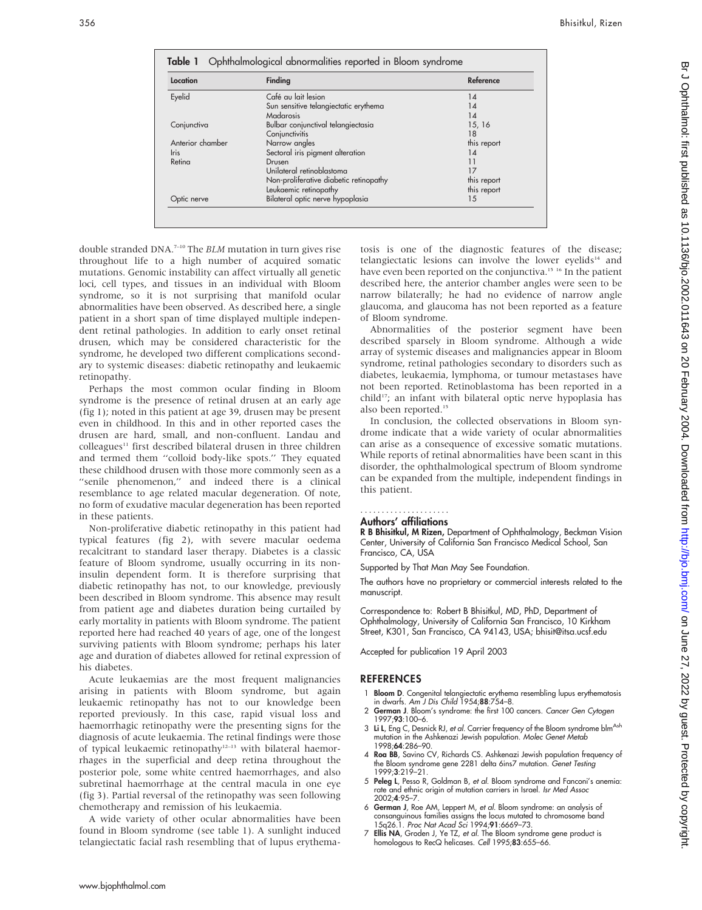| Location         | Finding                                | Reference   |
|------------------|----------------------------------------|-------------|
| Eyelid           | Café au lait lesion                    | 14          |
|                  | Sun sensitive telangiectatic erythema  | 14          |
|                  | Madarosis                              | 14          |
| Conjunctiva      | Bulbar conjunctival telangiectasia     | 15, 16      |
|                  | Conjunctivitis                         | 18          |
| Anterior chamber | Narrow angles                          | this report |
| <b>Iris</b>      | Sectoral iris pigment alteration       | 14          |
| Retina           | Drusen                                 | 11          |
|                  | Unilateral retinoblastoma              | 17          |
|                  | Non-proliferative diabetic retinopathy | this report |
|                  | Leukaemic retinopathy                  | this report |
| Optic nerve      | Bilateral optic nerve hypoplasia       | 15          |

double stranded DNA.7–10 The BLM mutation in turn gives rise throughout life to a high number of acquired somatic mutations. Genomic instability can affect virtually all genetic loci, cell types, and tissues in an individual with Bloom syndrome, so it is not surprising that manifold ocular abnormalities have been observed. As described here, a single patient in a short span of time displayed multiple independent retinal pathologies. In addition to early onset retinal drusen, which may be considered characteristic for the syndrome, he developed two different complications secondary to systemic diseases: diabetic retinopathy and leukaemic retinopathy.

Perhaps the most common ocular finding in Bloom syndrome is the presence of retinal drusen at an early age (fig 1); noted in this patient at age 39, drusen may be present even in childhood. In this and in other reported cases the drusen are hard, small, and non-confluent. Landau and colleagues<sup>11</sup> first described bilateral drusen in three children and termed them ''colloid body-like spots.'' They equated these childhood drusen with those more commonly seen as a "senile phenomenon," and indeed there is a clinical resemblance to age related macular degeneration. Of note, no form of exudative macular degeneration has been reported in these patients.

Non-proliferative diabetic retinopathy in this patient had typical features (fig 2), with severe macular oedema recalcitrant to standard laser therapy. Diabetes is a classic feature of Bloom syndrome, usually occurring in its noninsulin dependent form. It is therefore surprising that diabetic retinopathy has not, to our knowledge, previously been described in Bloom syndrome. This absence may result from patient age and diabetes duration being curtailed by early mortality in patients with Bloom syndrome. The patient reported here had reached 40 years of age, one of the longest surviving patients with Bloom syndrome; perhaps his later age and duration of diabetes allowed for retinal expression of his diabetes.

Acute leukaemias are the most frequent malignancies arising in patients with Bloom syndrome, but again leukaemic retinopathy has not to our knowledge been reported previously. In this case, rapid visual loss and haemorrhagic retinopathy were the presenting signs for the diagnosis of acute leukaemia. The retinal findings were those of typical leukaemic retinopathy<sup>12–13</sup> with bilateral haemorrhages in the superficial and deep retina throughout the posterior pole, some white centred haemorrhages, and also subretinal haemorrhage at the central macula in one eye (fig 3). Partial reversal of the retinopathy was seen following chemotherapy and remission of his leukaemia.

A wide variety of other ocular abnormalities have been found in Bloom syndrome (see table 1). A sunlight induced telangiectatic facial rash resembling that of lupus erythematosis is one of the diagnostic features of the disease; telangiectatic lesions can involve the lower eyelids $14$  and have even been reported on the conjunctiva.<sup>15 16</sup> In the patient described here, the anterior chamber angles were seen to be narrow bilaterally; he had no evidence of narrow angle glaucoma, and glaucoma has not been reported as a feature of Bloom syndrome.

Abnormalities of the posterior segment have been described sparsely in Bloom syndrome. Although a wide array of systemic diseases and malignancies appear in Bloom syndrome, retinal pathologies secondary to disorders such as diabetes, leukaemia, lymphoma, or tumour metastases have not been reported. Retinoblastoma has been reported in a child<sup>17</sup>; an infant with bilateral optic nerve hypoplasia has also been reported.15

In conclusion, the collected observations in Bloom syndrome indicate that a wide variety of ocular abnormalities can arise as a consequence of excessive somatic mutations. While reports of retinal abnormalities have been scant in this disorder, the ophthalmological spectrum of Bloom syndrome can be expanded from the multiple, independent findings in this patient.

#### Authors' affiliations .....................

R B Bhisitkul, M Rizen, Department of Ophthalmology, Beckman Vision Center, University of California San Francisco Medical School, San Francisco, CA, USA

Supported by That Man May See Foundation.

The authors have no proprietary or commercial interests related to the manuscript.

Correspondence to: Robert B Bhisitkul, MD, PhD, Department of Ophthalmology, University of California San Francisco, 10 Kirkham Street, K301, San Francisco, CA 94143, USA; bhisit@itsa.ucsf.edu

Accepted for publication 19 April 2003

#### **REFERENCES**

- 1 Bloom D. Congenital telangiectatic erythema resembling lupus erythematosis in dwarfs. Am J Dis Child 1954;88:754–8.
- 2 German J. Bloom's syndrome: the first 100 cancers. Cancer Gen Cytogen 1997;93:100–6.
- 3 Li L, Eng C, Desnick RJ, et al. Carrier frequency of the Bloom syndrome blm<sup>Ash</sup> mutation in the Ashkenazi Jewish population. Molec Genet Metab 1998;64:286–90.
- 4 Roa BB, Savino CV, Richards CS. Ashkenazi Jewish population frequency of the Bloom syndrome gene 2281 delta 6ins7 mutation. Genet Testing 1999;3:219–21.
- 5 Peleg L, Pesso R, Goldman B, et al. Bloom syndrome and Fanconi's anemia: rate and ethnic origin of mutation carriers in Israel. Isr Med Assoc 2002;4:95–7.
- 6 German J, Roe AM, Leppert M, et al. Bloom syndrome: an analysis of consanguinous families assigns the locus mutated to chromosome band 15q26.1. Proc Nat Acad Sci 1994;91:6669–73.
- 7 Ellis NA, Groden J, Ye TZ, et al. The Bloom syndrome gene product is homologous to RecQ helicases. Cell 1995;83:655-66.